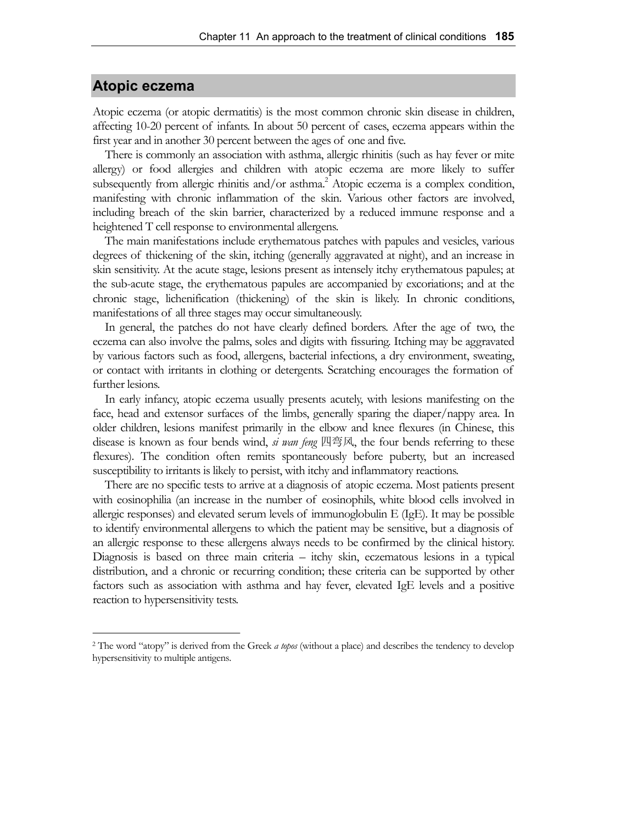## **Atopic eczema**

Atopic eczema (or atopic dermatitis) is the most common chronic skin disease in children, affecting 10-20 percent of infants. In about 50 percent of cases, eczema appears within the first year and in another 30 percent between the ages of one and five.

There is commonly an association with asthma, allergic rhinitis (such as hay fever or mite allergy) or food allergies and children with atopic eczema are more likely to suffer subsequently from allergic rhinitis and/or asthma.<sup>2</sup> Atopic eczema is a complex condition, manifesting with chronic inflammation of the skin. Various other factors are involved, including breach of the skin barrier, characterized by a reduced immune response and a heightened T cell response to environmental allergens.

The main manifestations include erythematous patches with papules and vesicles, various degrees of thickening of the skin, itching (generally aggravated at night), and an increase in skin sensitivity. At the acute stage, lesions present as intensely itchy erythematous papules; at the sub-acute stage, the erythematous papules are accompanied by excoriations; and at the chronic stage, lichenification (thickening) of the skin is likely. In chronic conditions, manifestations of all three stages may occur simultaneously.

In general, the patches do not have clearly defined borders. After the age of two, the eczema can also involve the palms, soles and digits with fissuring. Itching may be aggravated by various factors such as food, allergens, bacterial infections, a dry environment, sweating, or contact with irritants in clothing or detergents. Scratching encourages the formation of further lesions.

In early infancy, atopic eczema usually presents acutely, with lesions manifesting on the face, head and extensor surfaces of the limbs, generally sparing the diaper/nappy area. In older children, lesions manifest primarily in the elbow and knee flexures (in Chinese, this disease is known as four bends wind, *si wan feng* 四弯风, the four bends referring to these flexures). The condition often remits spontaneously before puberty, but an increased susceptibility to irritants is likely to persist, with itchy and inflammatory reactions.

There are no specific tests to arrive at a diagnosis of atopic eczema. Most patients present with eosinophilia (an increase in the number of eosinophils, white blood cells involved in allergic responses) and elevated serum levels of immunoglobulin E (IgE). It may be possible to identify environmental allergens to which the patient may be sensitive, but a diagnosis of an allergic response to these allergens always needs to be confirmed by the clinical history. Diagnosis is based on three main criteria – itchy skin, eczematous lesions in a typical distribution, and a chronic or recurring condition; these criteria can be supported by other factors such as association with asthma and hay fever, elevated IgE levels and a positive reaction to hypersensitivity tests.

<sup>2</sup> The word "atopy" is derived from the Greek *a topos* (without a place) and describes the tendency to develop hypersensitivity to multiple antigens.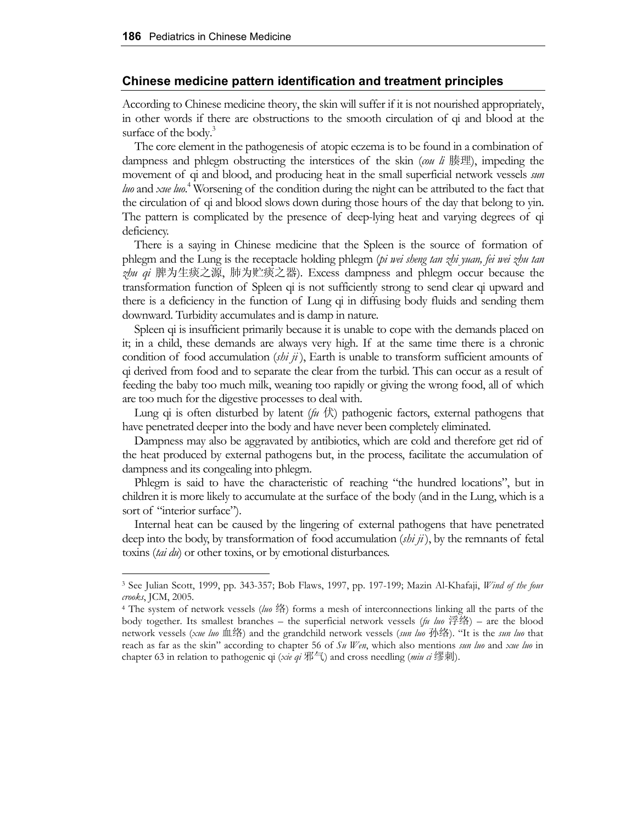## **Chinese medicine pattern identification and treatment principles**

According to Chinese medicine theory, the skin will suffer if it is not nourished appropriately, in other words if there are obstructions to the smooth circulation of qi and blood at the surface of the body. $3$ 

The core element in the pathogenesis of atopic eczema is to be found in a combination of dampness and phlegm obstructing the interstices of the skin (*cou li* 腠理), impeding the movement of qi and blood, and producing heat in the small superficial network vessels *sun luo* and *xue luo*. 4 Worsening of the condition during the night can be attributed to the fact that the circulation of qi and blood slows down during those hours of the day that belong to yin. The pattern is complicated by the presence of deep-lying heat and varying degrees of qi deficiency.

There is a saying in Chinese medicine that the Spleen is the source of formation of phlegm and the Lung is the receptacle holding phlegm (*pi wei sheng tan zhi yuan, fei wei zhu tan zhu qi* 脾为生痰之源, 肺为贮痰之器). Excess dampness and phlegm occur because the transformation function of Spleen qi is not sufficiently strong to send clear qi upward and there is a deficiency in the function of Lung qi in diffusing body fluids and sending them downward. Turbidity accumulates and is damp in nature.

Spleen qi is insufficient primarily because it is unable to cope with the demands placed on it; in a child, these demands are always very high. If at the same time there is a chronic condition of food accumulation (*shi ji* ), Earth is unable to transform sufficient amounts of qi derived from food and to separate the clear from the turbid. This can occur as a result of feeding the baby too much milk, weaning too rapidly or giving the wrong food, all of which are too much for the digestive processes to deal with.

Lung qi is often disturbed by latent  $(f\psi \notin \mathcal{L})$  pathogenic factors, external pathogens that have penetrated deeper into the body and have never been completely eliminated.

Dampness may also be aggravated by antibiotics, which are cold and therefore get rid of the heat produced by external pathogens but, in the process, facilitate the accumulation of dampness and its congealing into phlegm.

Phlegm is said to have the characteristic of reaching "the hundred locations", but in children it is more likely to accumulate at the surface of the body (and in the Lung, which is a sort of "interior surface").

Internal heat can be caused by the lingering of external pathogens that have penetrated deep into the body, by transformation of food accumulation (*shi ji* ), by the remnants of fetal toxins (*tai du*) or other toxins, or by emotional disturbances.

<sup>3</sup> See Julian Scott, 1999, pp. 343-357; Bob Flaws, 1997, pp. 197-199; Mazin Al-Khafaji, *Wind of the four crooks*, JCM, 2005.

<sup>4</sup> The system of network vessels (*luo* 络) forms a mesh of interconnections linking all the parts of the body together. Its smallest branches – the superficial network vessels (*fu luo* 浮络) – are the blood network vessels (*xue luo* 血络) and the grandchild network vessels (*sun luo* 孙络). "It is the *sun luo* that reach as far as the skin" according to chapter 56 of *Su Wen*, which also mentions *sun luo* and *xue luo* in chapter 63 in relation to pathogenic qi (*xie qi* 邪气) and cross needling (*miu ci* 缪刺).